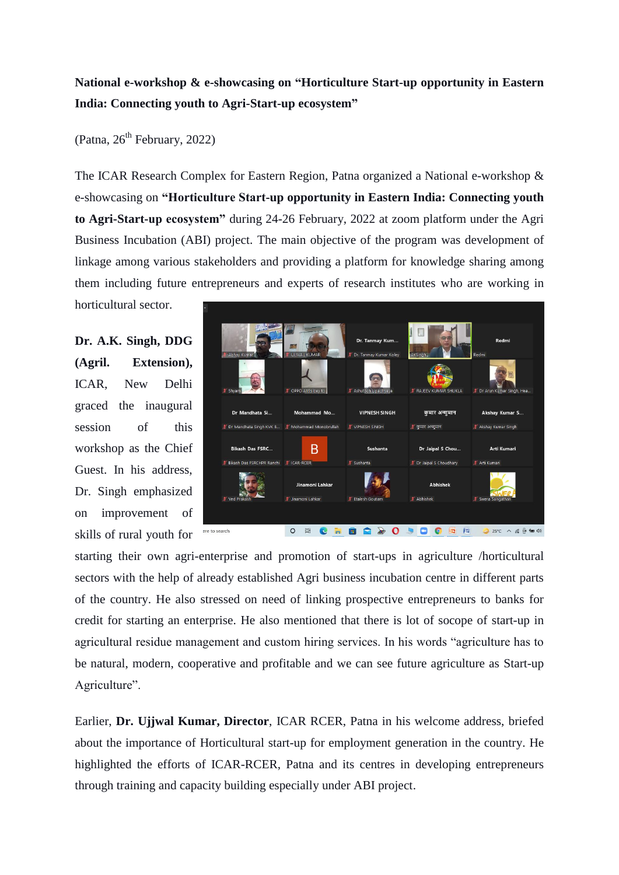## **National e-workshop & e-showcasing on "Horticulture Start-up opportunity in Eastern India: Connecting youth to Agri-Start-up ecosystem"**

(Patna,  $26<sup>th</sup>$  February, 2022)

The ICAR Research Complex for Eastern Region, Patna organized a National e-workshop & e-showcasing on **"Horticulture Start-up opportunity in Eastern India: Connecting youth to Agri-Start-up ecosystem"** during 24-26 February, 2022 at zoom platform under the Agri Business Incubation (ABI) project. The main objective of the program was development of linkage among various stakeholders and providing a platform for knowledge sharing among them including future entrepreneurs and experts of research institutes who are working in

horticultural sector.

**Dr. A.K. Singh, DDG (Agril. Extension),** ICAR, New Delhi graced the inaugural session of this workshop as the Chief Guest. In his address, Dr. Singh emphasized on improvement of skills of rural youth for



starting their own agri-enterprise and promotion of start-ups in agriculture /horticultural sectors with the help of already established Agri business incubation centre in different parts of the country. He also stressed on need of linking prospective entrepreneurs to banks for credit for starting an enterprise. He also mentioned that there is lot of socope of start-up in agricultural residue management and custom hiring services. In his words "agriculture has to be natural, modern, cooperative and profitable and we can see future agriculture as Start-up Agriculture".

Earlier, **Dr. Ujjwal Kumar, Director**, ICAR RCER, Patna in his welcome address, briefed about the importance of Horticultural start-up for employment generation in the country. He highlighted the efforts of ICAR-RCER, Patna and its centres in developing entrepreneurs through training and capacity building especially under ABI project.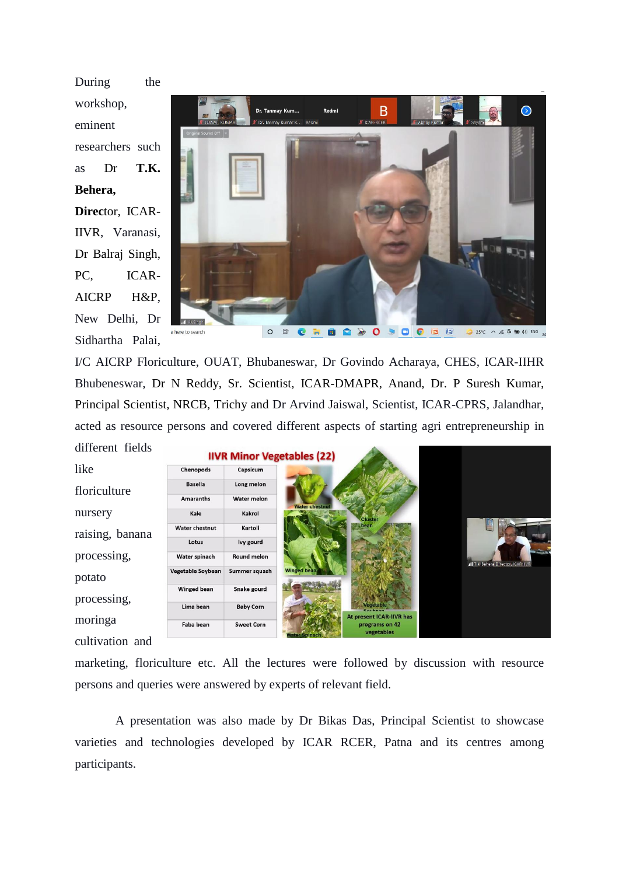During the workshop, eminent researchers such as Dr **T.K. Behera, Direc**tor, ICAR-IIVR, Varanasi, Dr Balraj Singh, PC, ICAR-AICRP H&P, New Delhi, Dr Sidhartha Palai,



I/C AICRP Floriculture, OUAT, Bhubaneswar, Dr Govindo Acharaya, CHES, ICAR-IIHR Bhubeneswar, Dr N Reddy, Sr. Scientist, ICAR-DMAPR, Anand, Dr. P Suresh Kumar, Principal Scientist, NRCB, Trichy and Dr Arvind Jaiswal, Scientist, ICAR-CPRS, Jalandhar, acted as resource persons and covered different aspects of starting agri entrepreneurship in different fields



marketing, floriculture etc. All the lectures were followed by discussion with resource persons and queries were answered by experts of relevant field.

A presentation was also made by Dr Bikas Das, Principal Scientist to showcase varieties and technologies developed by ICAR RCER, Patna and its centres among participants.